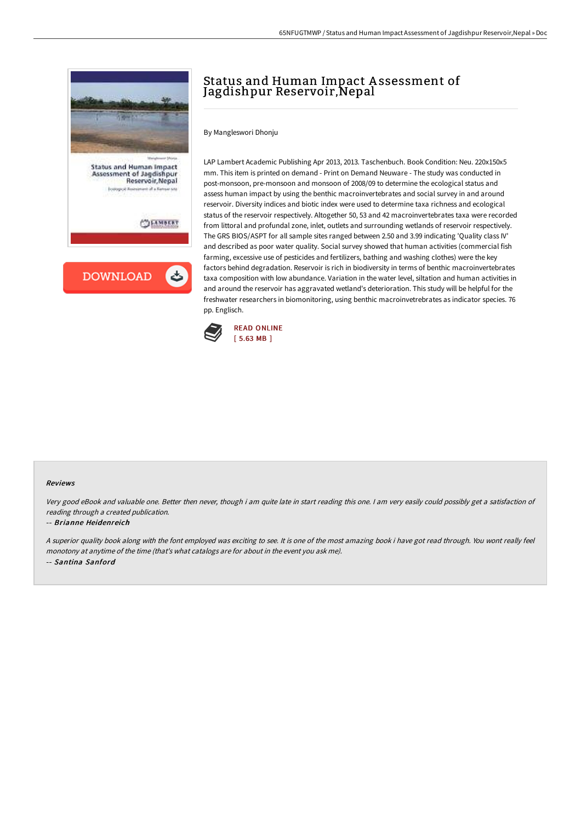

# Status and Human Impact A ssessment of Jagdishpur Reservoir,Nepal

By Mangleswori Dhonju

LAP Lambert Academic Publishing Apr 2013, 2013. Taschenbuch. Book Condition: Neu. 220x150x5 mm. This item is printed on demand - Print on Demand Neuware - The study was conducted in post-monsoon, pre-monsoon and monsoon of 2008/09 to determine the ecological status and assess human impact by using the benthic macroinvertebrates and social survey in and around reservoir. Diversity indices and biotic index were used to determine taxa richness and ecological status of the reservoir respectively. Altogether 50, 53 and 42 macroinvertebrates taxa were recorded from littoral and profundal zone, inlet, outlets and surrounding wetlands of reservoir respectively. The GRS BIOS/ASPT for all sample sites ranged between 2.50 and 3.99 indicating 'Quality class IV' and described as poor water quality. Social survey showed that human activities (commercial fish farming, excessive use of pesticides and fertilizers, bathing and washing clothes) were the key factors behind degradation. Reservoir is rich in biodiversity in terms of benthic macroinvertebrates taxa composition with low abundance. Variation in the water level, siltation and human activities in and around the reservoir has aggravated wetland's deterioration. This study will be helpful for the freshwater researchers in biomonitoring, using benthic macroinvetrebrates as indicator species. 76 pp. Englisch.



#### Reviews

Very good eBook and valuable one. Better then never, though i am quite late in start reading this one. <sup>I</sup> am very easily could possibly get <sup>a</sup> satisfaction of reading through <sup>a</sup> created publication.

#### -- Brianne Heidenreich

<sup>A</sup> superior quality book along with the font employed was exciting to see. It is one of the most amazing book i have got read through. You wont really feel monotony at anytime of the time (that's what catalogs are for about in the event you ask me). -- Santina Sanford